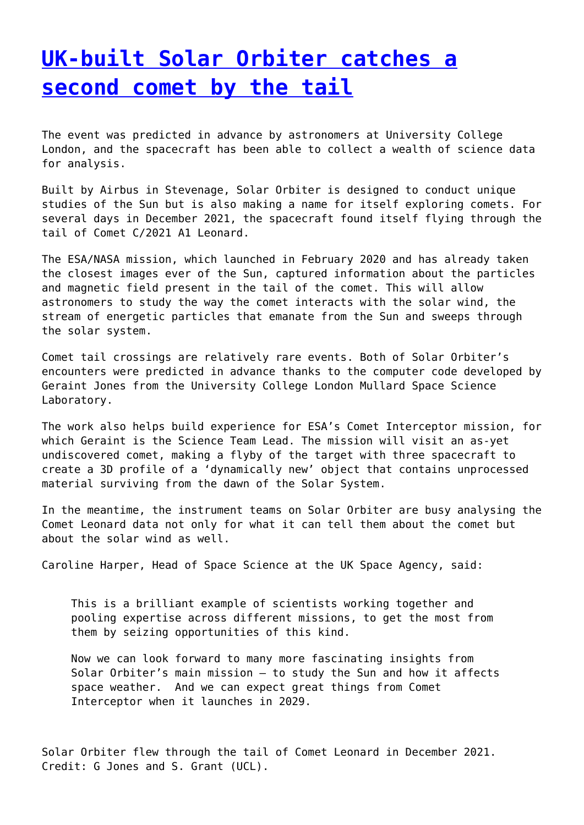## **[UK-built Solar Orbiter catches a](http://www.government-world.com/uk-built-solar-orbiter-catches-a-second-comet-by-the-tail/) [second comet by the tail](http://www.government-world.com/uk-built-solar-orbiter-catches-a-second-comet-by-the-tail/)**

The event was predicted in advance by astronomers at University College London, and the spacecraft has been able to collect a wealth of science data for analysis.

Built by Airbus in Stevenage, Solar Orbiter is designed to conduct unique studies of the Sun but is also making a name for itself exploring comets. For several days in December 2021, the spacecraft found itself flying through the tail of Comet C/2021 A1 Leonard.

The ESA/NASA mission, which launched in February 2020 and has already taken the closest images ever of the Sun, captured information about the particles and magnetic field present in the tail of the comet. This will allow astronomers to study the way the comet interacts with the solar wind, the stream of energetic particles that emanate from the Sun and sweeps through the solar system.

Comet tail crossings are relatively rare events. Both of Solar Orbiter's encounters were predicted in advance thanks to the computer code developed by Geraint Jones from the University College London Mullard Space Science Laboratory.

The work also helps build experience for ESA's Comet Interceptor mission, for which Geraint is the Science Team Lead. The mission will visit an as-yet undiscovered comet, making a flyby of the target with three spacecraft to create a 3D profile of a 'dynamically new' object that contains unprocessed material surviving from the dawn of the Solar System.

In the meantime, the instrument teams on Solar Orbiter are busy analysing the Comet Leonard data not only for what it can tell them about the comet but about the solar wind as well.

Caroline Harper, Head of Space Science at the UK Space Agency, said:

This is a brilliant example of scientists working together and pooling expertise across different missions, to get the most from them by seizing opportunities of this kind. 

Now we can look forward to many more fascinating insights from Solar Orbiter's main mission – to study the Sun and how it affects space weather.  And we can expect great things from Comet Interceptor when it launches in 2029.

Solar Orbiter flew through the tail of Comet Leonard in December 2021. Credit: G Jones and S. Grant (UCL).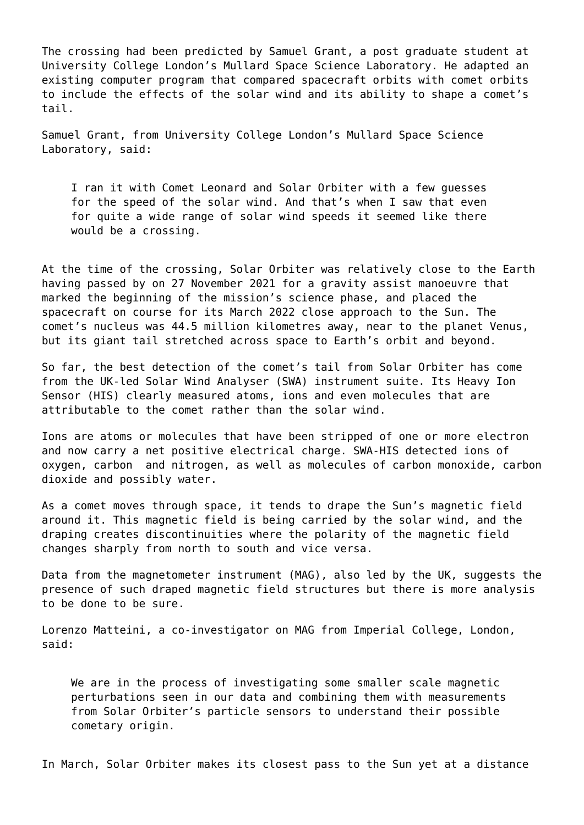The crossing had been predicted by Samuel Grant, a post graduate student at University College London's Mullard Space Science Laboratory. He adapted an existing computer program that compared spacecraft orbits with comet orbits to include the effects of the solar wind and its ability to shape a comet's tail.

Samuel Grant, from University College London's Mullard Space Science Laboratory, said:

I ran it with Comet Leonard and Solar Orbiter with a few guesses for the speed of the solar wind. And that's when I saw that even for quite a wide range of solar wind speeds it seemed like there would be a crossing.

At the time of the crossing, Solar Orbiter was relatively close to the Earth having passed by on 27 November 2021 for a gravity assist manoeuvre that marked the beginning of the mission's science phase, and placed the spacecraft on course for its March 2022 close approach to the Sun. The comet's nucleus was 44.5 million kilometres away, near to the planet Venus, but its giant tail stretched across space to Earth's orbit and beyond.

So far, the best detection of the comet's tail from Solar Orbiter has come from the UK-led Solar Wind Analyser (SWA) instrument suite. Its Heavy Ion Sensor (HIS) clearly measured atoms, ions and even molecules that are attributable to the comet rather than the solar wind.

Ions are atoms or molecules that have been stripped of one or more electron and now carry a net positive electrical charge. SWA-HIS detected ions of oxygen, carbon  and nitrogen, as well as molecules of carbon monoxide, carbon dioxide and possibly water.

As a comet moves through space, it tends to drape the Sun's magnetic field around it. This magnetic field is being carried by the solar wind, and the draping creates discontinuities where the polarity of the magnetic field changes sharply from north to south and vice versa.

Data from the magnetometer instrument (MAG), also led by the UK, suggests the presence of such draped magnetic field structures but there is more analysis to be done to be sure.

Lorenzo Matteini, a co-investigator on MAG from Imperial College, London, said:

We are in the process of investigating some smaller scale magnetic perturbations seen in our data and combining them with measurements from Solar Orbiter's particle sensors to understand their possible cometary origin.

In March, Solar Orbiter makes its closest pass to the Sun yet at a distance